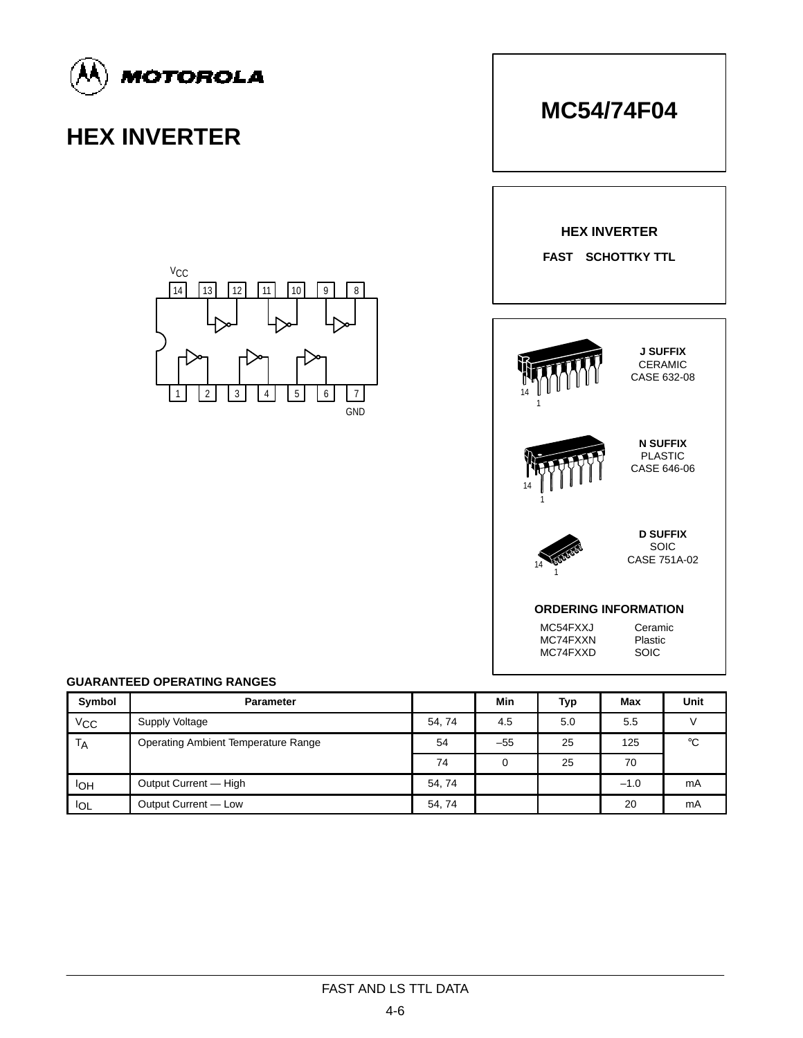

# **HEX INVERTER**

## **MC54/74F04**

### **HEX INVERTER**

**FAST SCHOTTKY TTL**





MC74FXXN Plastic<br>MC74FXXD SOIC MC74FXXD

#### **GUARANTEED OPERATING RANGES**

| Symbol               | <b>Parameter</b>                    |        | Min | Typ | <b>Max</b> | <b>Unit</b> |
|----------------------|-------------------------------------|--------|-----|-----|------------|-------------|
| $V_{\rm CC}$         | <b>Supply Voltage</b>               | 54, 74 | 4.5 | 5.0 | 5.5        |             |
| <b>T<sub>A</sub></b> | Operating Ambient Temperature Range | 54     | -55 | 25  | 125        | $^{\circ}C$ |
|                      |                                     | 74     | 0   | 25  | 70         |             |
| IОH                  | Output Current - High               | 54, 74 |     |     | $-1.0$     | mA          |
| $I_{OL}$             | Output Current - Low                | 54, 74 |     |     | 20         | mA          |